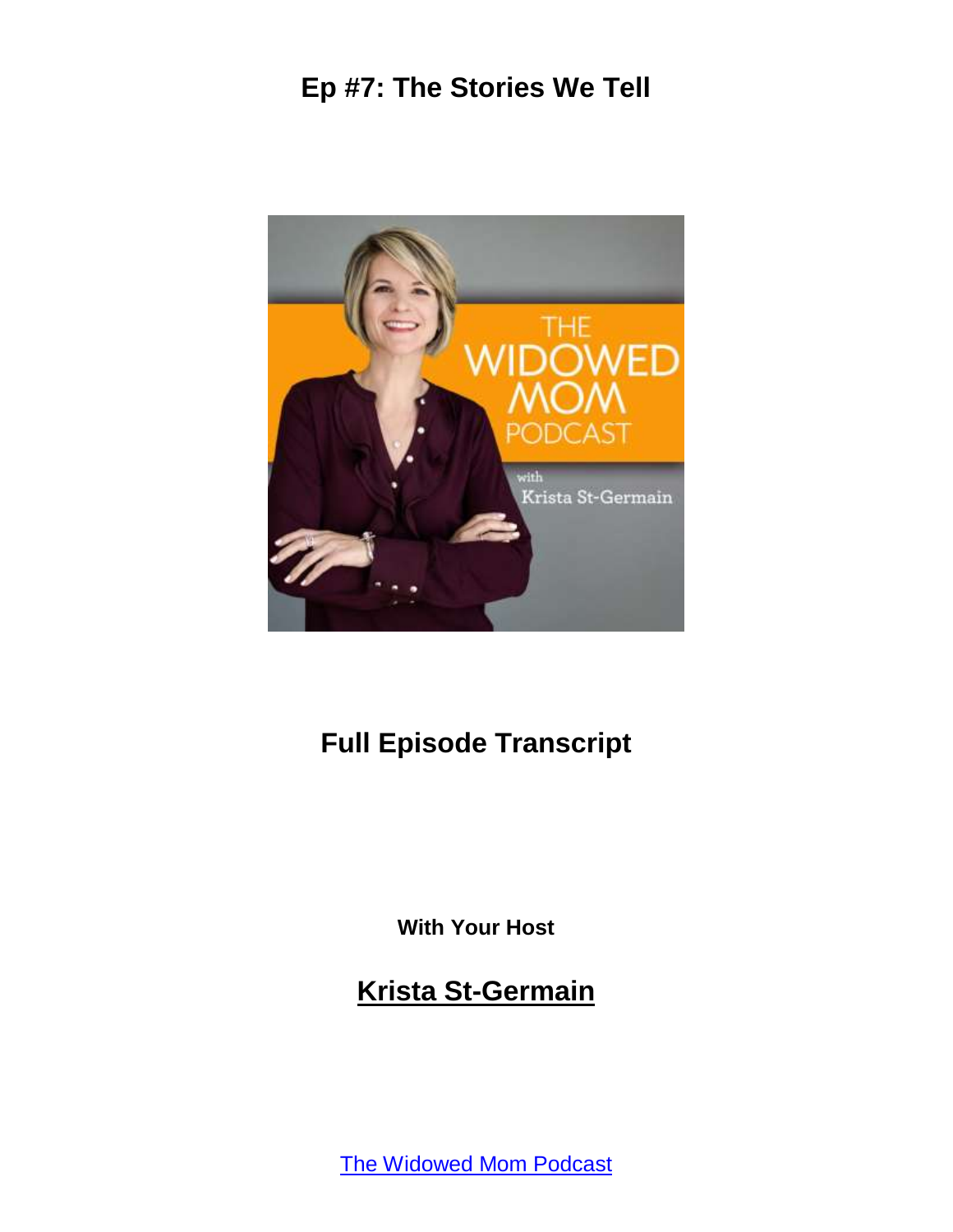

# **Full Episode Transcript**

**With Your Host**

**Krista St-Germain**

[The Widowed Mom Podcast](https://coachingwithkrista.com/podcast)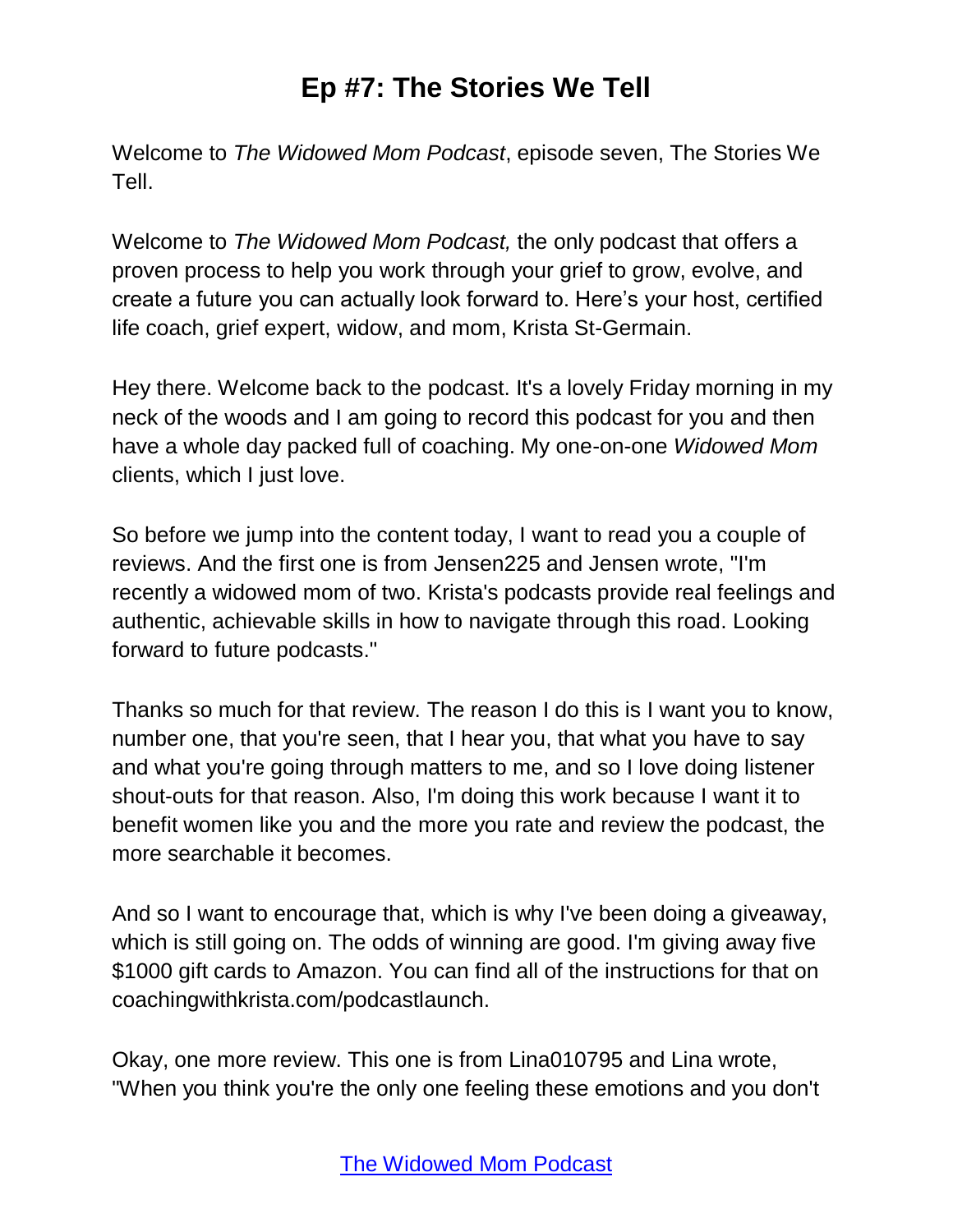Welcome to *The Widowed Mom Podcast*, episode seven, The Stories We Tell.

Welcome to *The Widowed Mom Podcast,* the only podcast that offers a proven process to help you work through your grief to grow, evolve, and create a future you can actually look forward to. Here's your host, certified life coach, grief expert, widow, and mom, Krista St-Germain.

Hey there. Welcome back to the podcast. It's a lovely Friday morning in my neck of the woods and I am going to record this podcast for you and then have a whole day packed full of coaching. My one-on-one *Widowed Mom*  clients, which I just love.

So before we jump into the content today, I want to read you a couple of reviews. And the first one is from Jensen225 and Jensen wrote, "I'm recently a widowed mom of two. Krista's podcasts provide real feelings and authentic, achievable skills in how to navigate through this road. Looking forward to future podcasts."

Thanks so much for that review. The reason I do this is I want you to know, number one, that you're seen, that I hear you, that what you have to say and what you're going through matters to me, and so I love doing listener shout-outs for that reason. Also, I'm doing this work because I want it to benefit women like you and the more you rate and review the podcast, the more searchable it becomes.

And so I want to encourage that, which is why I've been doing a giveaway, which is still going on. The odds of winning are good. I'm giving away five \$1000 gift cards to Amazon. You can find all of the instructions for that on coachingwithkrista.com/podcastlaunch.

Okay, one more review. This one is from Lina010795 and Lina wrote, "When you think you're the only one feeling these emotions and you don't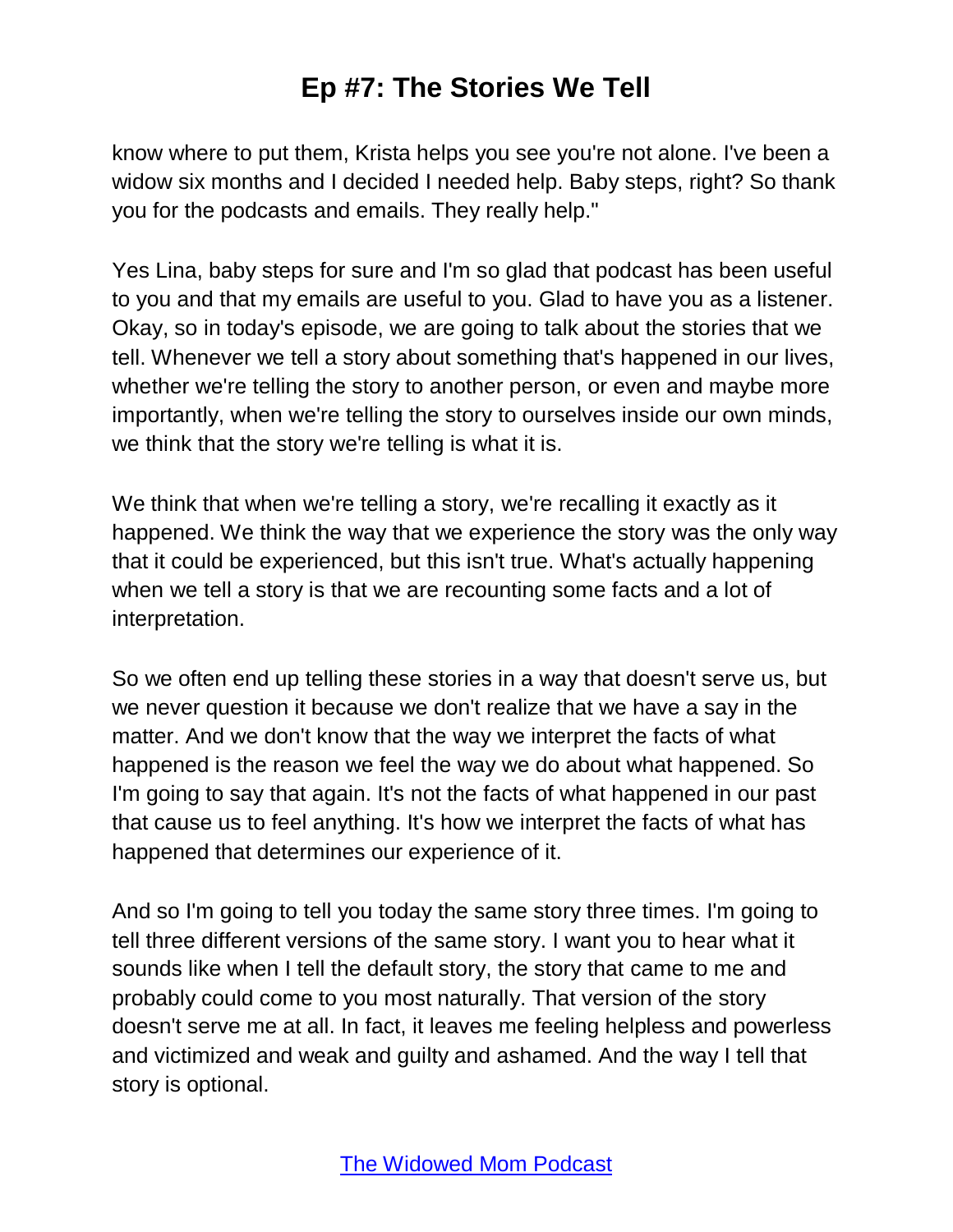know where to put them, Krista helps you see you're not alone. I've been a widow six months and I decided I needed help. Baby steps, right? So thank you for the podcasts and emails. They really help."

Yes Lina, baby steps for sure and I'm so glad that podcast has been useful to you and that my emails are useful to you. Glad to have you as a listener. Okay, so in today's episode, we are going to talk about the stories that we tell. Whenever we tell a story about something that's happened in our lives, whether we're telling the story to another person, or even and maybe more importantly, when we're telling the story to ourselves inside our own minds, we think that the story we're telling is what it is.

We think that when we're telling a story, we're recalling it exactly as it happened. We think the way that we experience the story was the only way that it could be experienced, but this isn't true. What's actually happening when we tell a story is that we are recounting some facts and a lot of interpretation.

So we often end up telling these stories in a way that doesn't serve us, but we never question it because we don't realize that we have a say in the matter. And we don't know that the way we interpret the facts of what happened is the reason we feel the way we do about what happened. So I'm going to say that again. It's not the facts of what happened in our past that cause us to feel anything. It's how we interpret the facts of what has happened that determines our experience of it.

And so I'm going to tell you today the same story three times. I'm going to tell three different versions of the same story. I want you to hear what it sounds like when I tell the default story, the story that came to me and probably could come to you most naturally. That version of the story doesn't serve me at all. In fact, it leaves me feeling helpless and powerless and victimized and weak and guilty and ashamed. And the way I tell that story is optional.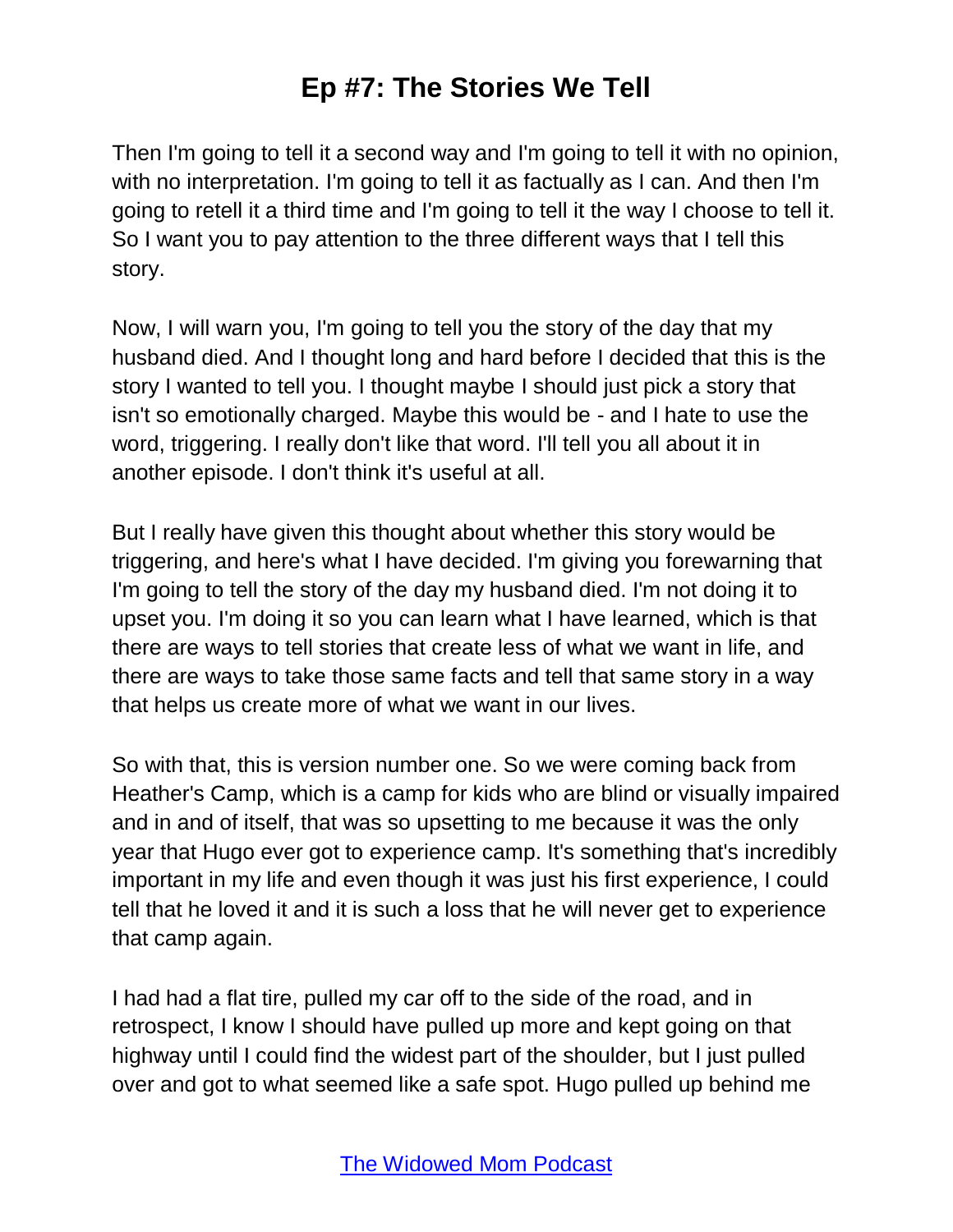Then I'm going to tell it a second way and I'm going to tell it with no opinion, with no interpretation. I'm going to tell it as factually as I can. And then I'm going to retell it a third time and I'm going to tell it the way I choose to tell it. So I want you to pay attention to the three different ways that I tell this story.

Now, I will warn you, I'm going to tell you the story of the day that my husband died. And I thought long and hard before I decided that this is the story I wanted to tell you. I thought maybe I should just pick a story that isn't so emotionally charged. Maybe this would be - and I hate to use the word, triggering. I really don't like that word. I'll tell you all about it in another episode. I don't think it's useful at all.

But I really have given this thought about whether this story would be triggering, and here's what I have decided. I'm giving you forewarning that I'm going to tell the story of the day my husband died. I'm not doing it to upset you. I'm doing it so you can learn what I have learned, which is that there are ways to tell stories that create less of what we want in life, and there are ways to take those same facts and tell that same story in a way that helps us create more of what we want in our lives.

So with that, this is version number one. So we were coming back from Heather's Camp, which is a camp for kids who are blind or visually impaired and in and of itself, that was so upsetting to me because it was the only year that Hugo ever got to experience camp. It's something that's incredibly important in my life and even though it was just his first experience, I could tell that he loved it and it is such a loss that he will never get to experience that camp again.

I had had a flat tire, pulled my car off to the side of the road, and in retrospect, I know I should have pulled up more and kept going on that highway until I could find the widest part of the shoulder, but I just pulled over and got to what seemed like a safe spot. Hugo pulled up behind me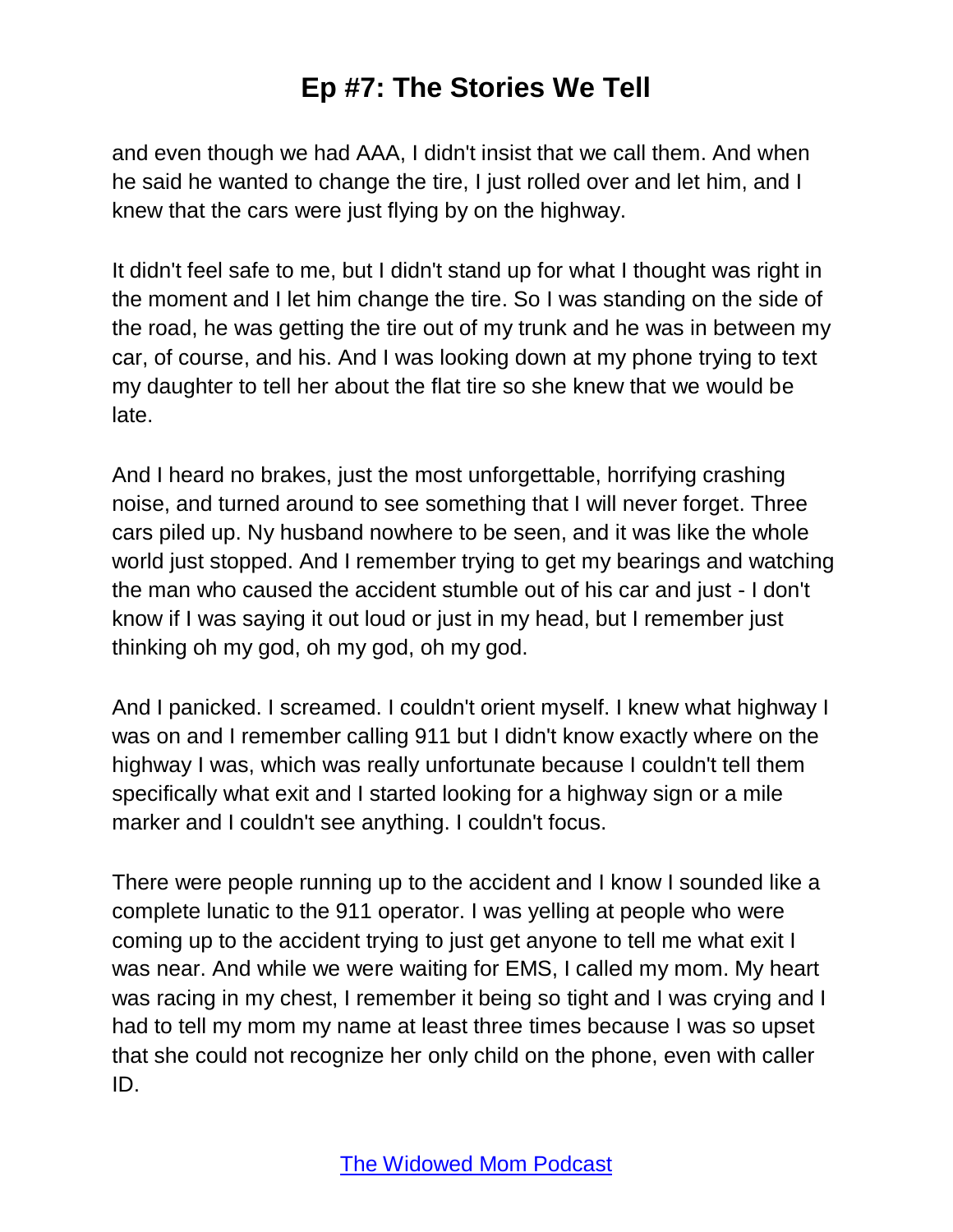and even though we had AAA, I didn't insist that we call them. And when he said he wanted to change the tire, I just rolled over and let him, and I knew that the cars were just flying by on the highway.

It didn't feel safe to me, but I didn't stand up for what I thought was right in the moment and I let him change the tire. So I was standing on the side of the road, he was getting the tire out of my trunk and he was in between my car, of course, and his. And I was looking down at my phone trying to text my daughter to tell her about the flat tire so she knew that we would be late.

And I heard no brakes, just the most unforgettable, horrifying crashing noise, and turned around to see something that I will never forget. Three cars piled up. Ny husband nowhere to be seen, and it was like the whole world just stopped. And I remember trying to get my bearings and watching the man who caused the accident stumble out of his car and just - I don't know if I was saying it out loud or just in my head, but I remember just thinking oh my god, oh my god, oh my god.

And I panicked. I screamed. I couldn't orient myself. I knew what highway I was on and I remember calling 911 but I didn't know exactly where on the highway I was, which was really unfortunate because I couldn't tell them specifically what exit and I started looking for a highway sign or a mile marker and I couldn't see anything. I couldn't focus.

There were people running up to the accident and I know I sounded like a complete lunatic to the 911 operator. I was yelling at people who were coming up to the accident trying to just get anyone to tell me what exit I was near. And while we were waiting for EMS, I called my mom. My heart was racing in my chest, I remember it being so tight and I was crying and I had to tell my mom my name at least three times because I was so upset that she could not recognize her only child on the phone, even with caller ID.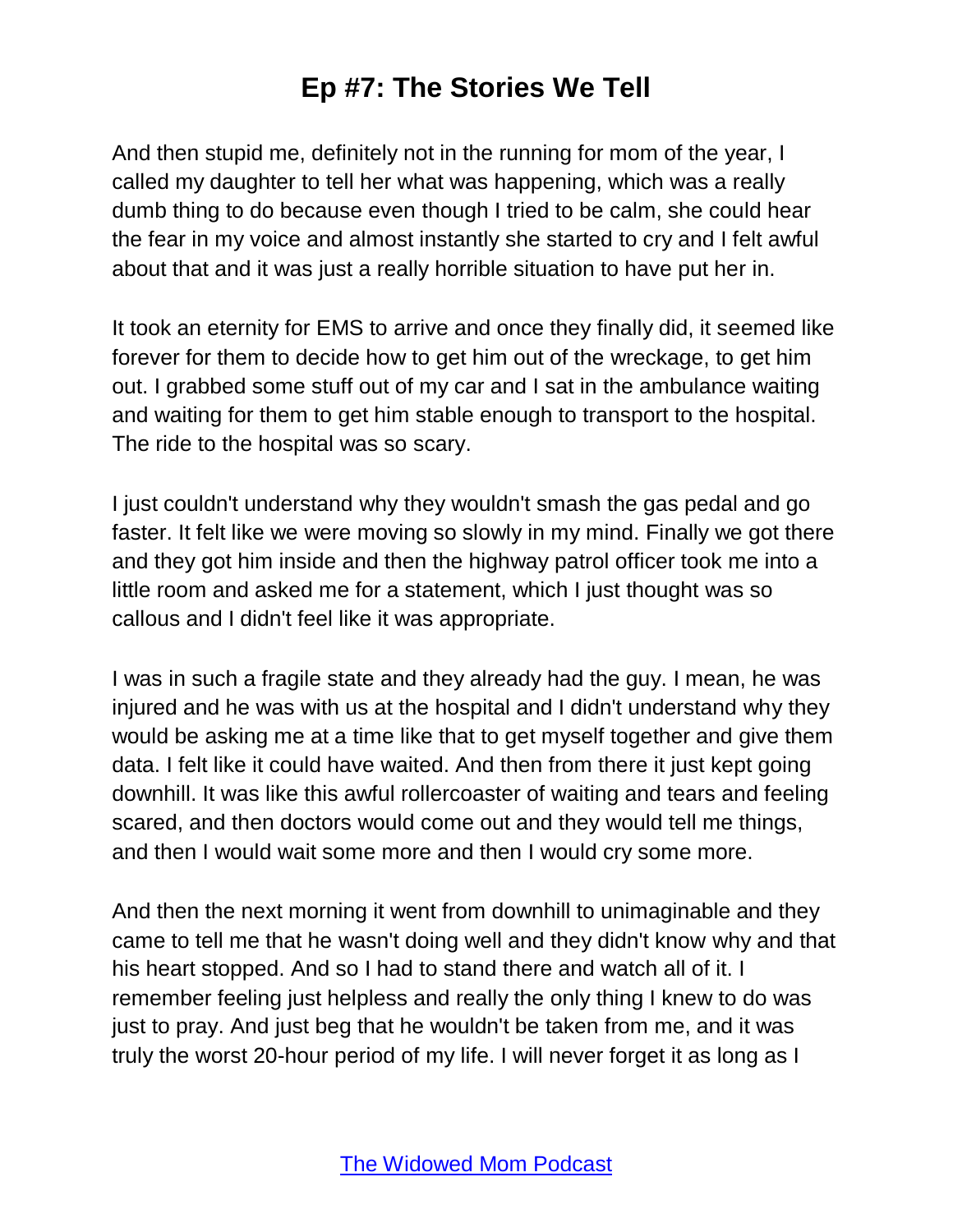And then stupid me, definitely not in the running for mom of the year, I called my daughter to tell her what was happening, which was a really dumb thing to do because even though I tried to be calm, she could hear the fear in my voice and almost instantly she started to cry and I felt awful about that and it was just a really horrible situation to have put her in.

It took an eternity for EMS to arrive and once they finally did, it seemed like forever for them to decide how to get him out of the wreckage, to get him out. I grabbed some stuff out of my car and I sat in the ambulance waiting and waiting for them to get him stable enough to transport to the hospital. The ride to the hospital was so scary.

I just couldn't understand why they wouldn't smash the gas pedal and go faster. It felt like we were moving so slowly in my mind. Finally we got there and they got him inside and then the highway patrol officer took me into a little room and asked me for a statement, which I just thought was so callous and I didn't feel like it was appropriate.

I was in such a fragile state and they already had the guy. I mean, he was injured and he was with us at the hospital and I didn't understand why they would be asking me at a time like that to get myself together and give them data. I felt like it could have waited. And then from there it just kept going downhill. It was like this awful rollercoaster of waiting and tears and feeling scared, and then doctors would come out and they would tell me things, and then I would wait some more and then I would cry some more.

And then the next morning it went from downhill to unimaginable and they came to tell me that he wasn't doing well and they didn't know why and that his heart stopped. And so I had to stand there and watch all of it. I remember feeling just helpless and really the only thing I knew to do was just to pray. And just beg that he wouldn't be taken from me, and it was truly the worst 20-hour period of my life. I will never forget it as long as I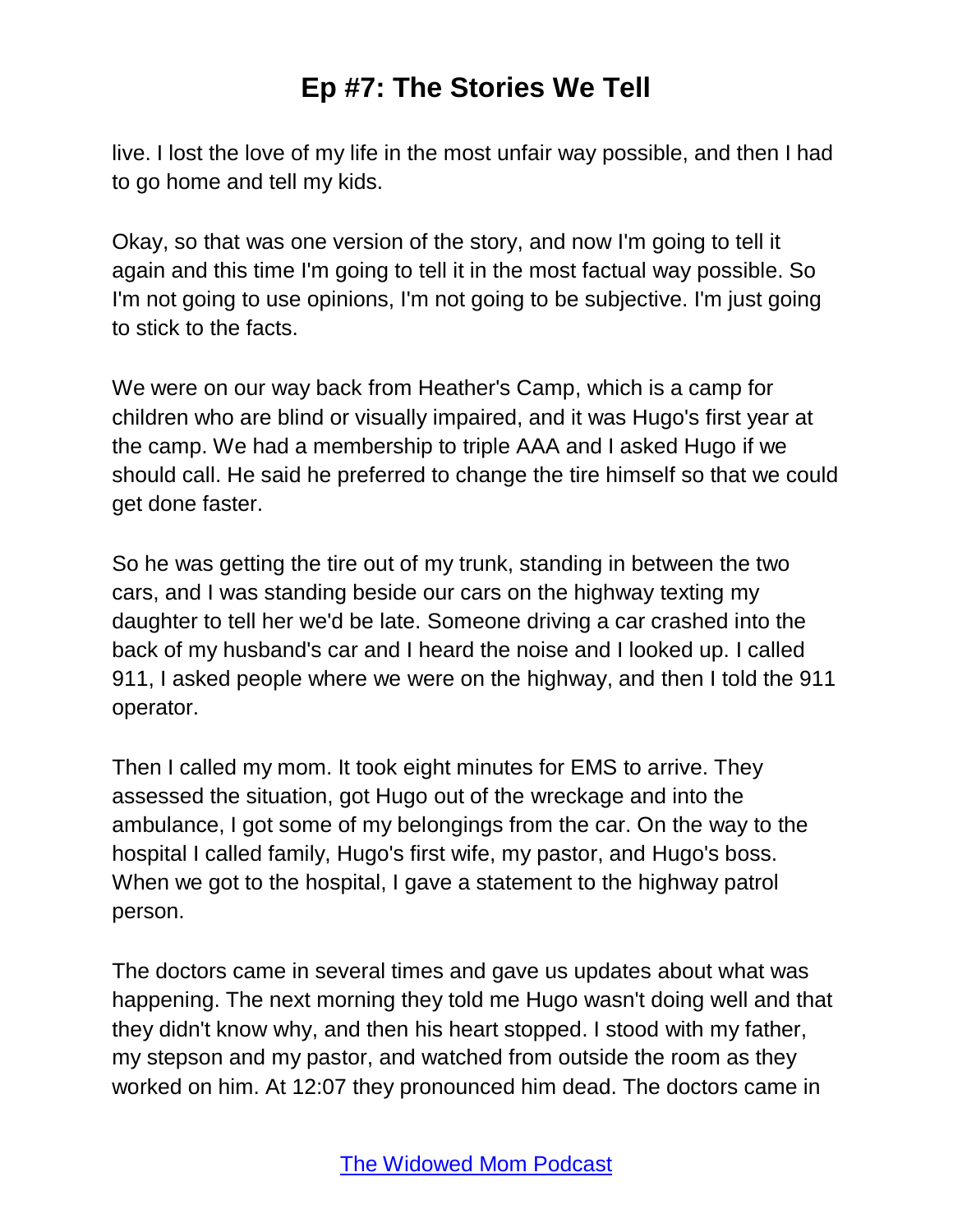live. I lost the love of my life in the most unfair way possible, and then I had to go home and tell my kids.

Okay, so that was one version of the story, and now I'm going to tell it again and this time I'm going to tell it in the most factual way possible. So I'm not going to use opinions, I'm not going to be subjective. I'm just going to stick to the facts.

We were on our way back from Heather's Camp, which is a camp for children who are blind or visually impaired, and it was Hugo's first year at the camp. We had a membership to triple AAA and I asked Hugo if we should call. He said he preferred to change the tire himself so that we could get done faster.

So he was getting the tire out of my trunk, standing in between the two cars, and I was standing beside our cars on the highway texting my daughter to tell her we'd be late. Someone driving a car crashed into the back of my husband's car and I heard the noise and I looked up. I called 911, I asked people where we were on the highway, and then I told the 911 operator.

Then I called my mom. It took eight minutes for EMS to arrive. They assessed the situation, got Hugo out of the wreckage and into the ambulance, I got some of my belongings from the car. On the way to the hospital I called family, Hugo's first wife, my pastor, and Hugo's boss. When we got to the hospital, I gave a statement to the highway patrol person.

The doctors came in several times and gave us updates about what was happening. The next morning they told me Hugo wasn't doing well and that they didn't know why, and then his heart stopped. I stood with my father, my stepson and my pastor, and watched from outside the room as they worked on him. At 12:07 they pronounced him dead. The doctors came in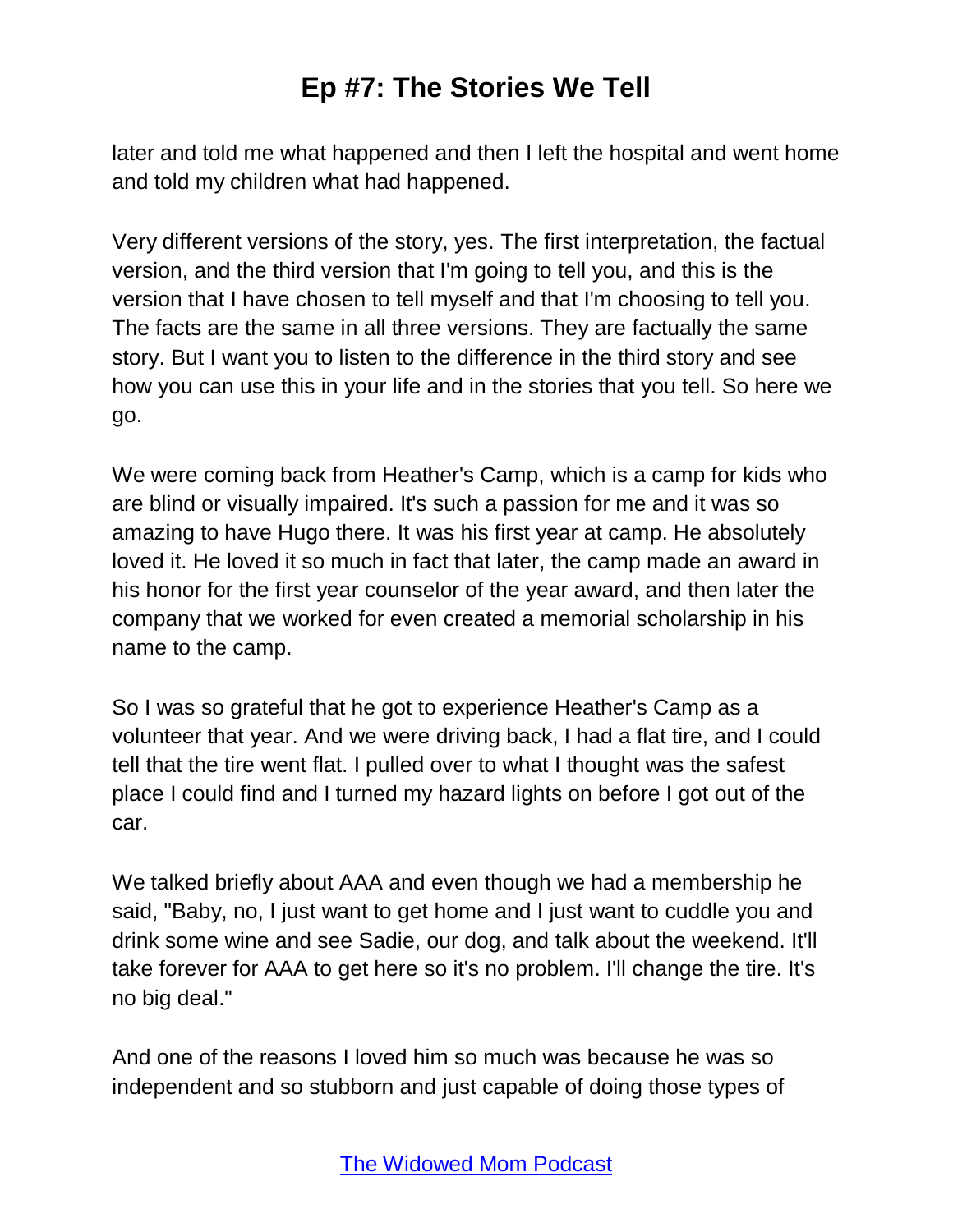later and told me what happened and then I left the hospital and went home and told my children what had happened.

Very different versions of the story, yes. The first interpretation, the factual version, and the third version that I'm going to tell you, and this is the version that I have chosen to tell myself and that I'm choosing to tell you. The facts are the same in all three versions. They are factually the same story. But I want you to listen to the difference in the third story and see how you can use this in your life and in the stories that you tell. So here we go.

We were coming back from Heather's Camp, which is a camp for kids who are blind or visually impaired. It's such a passion for me and it was so amazing to have Hugo there. It was his first year at camp. He absolutely loved it. He loved it so much in fact that later, the camp made an award in his honor for the first year counselor of the year award, and then later the company that we worked for even created a memorial scholarship in his name to the camp.

So I was so grateful that he got to experience Heather's Camp as a volunteer that year. And we were driving back, I had a flat tire, and I could tell that the tire went flat. I pulled over to what I thought was the safest place I could find and I turned my hazard lights on before I got out of the car.

We talked briefly about AAA and even though we had a membership he said, "Baby, no, I just want to get home and I just want to cuddle you and drink some wine and see Sadie, our dog, and talk about the weekend. It'll take forever for AAA to get here so it's no problem. I'll change the tire. It's no big deal."

And one of the reasons I loved him so much was because he was so independent and so stubborn and just capable of doing those types of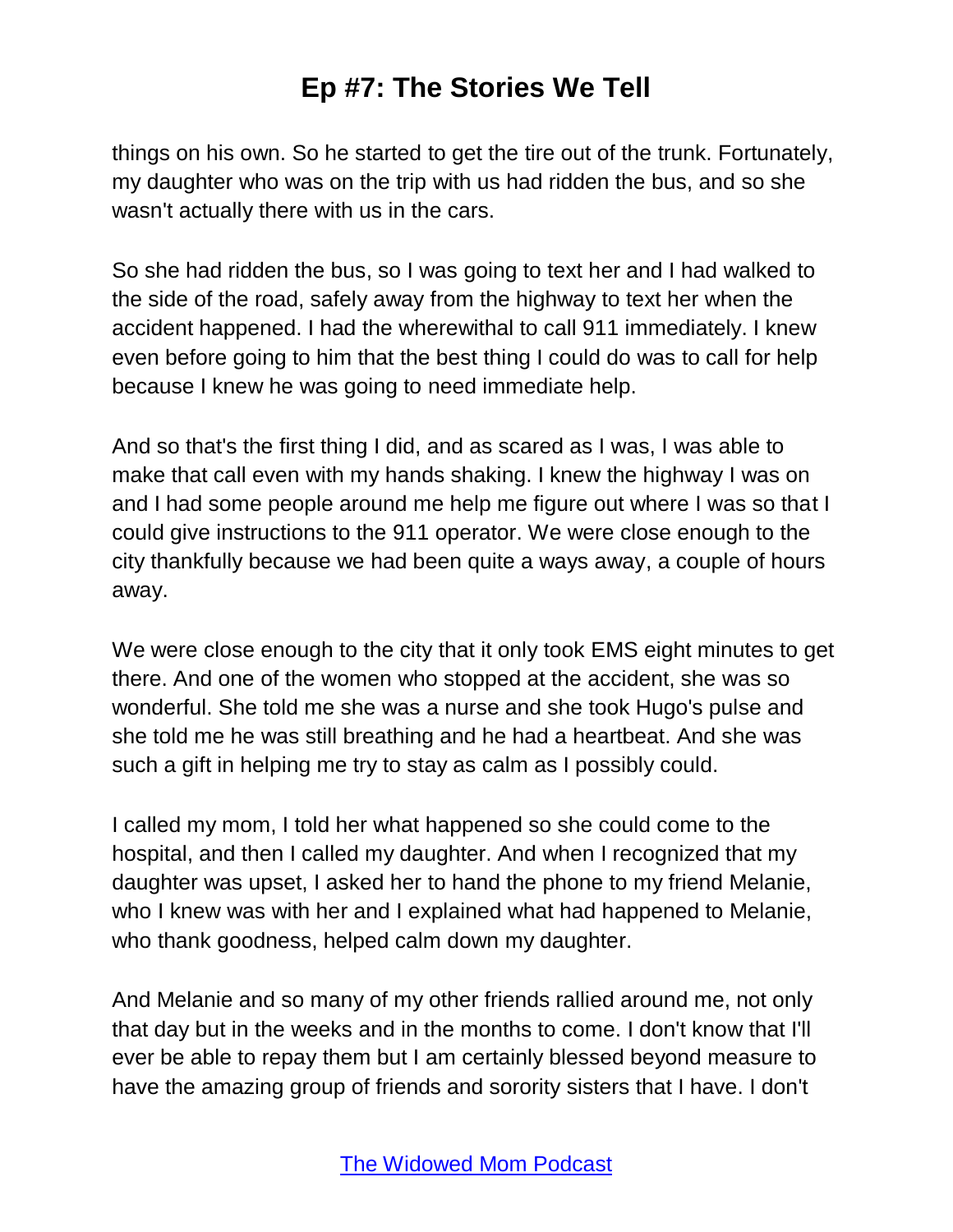things on his own. So he started to get the tire out of the trunk. Fortunately, my daughter who was on the trip with us had ridden the bus, and so she wasn't actually there with us in the cars.

So she had ridden the bus, so I was going to text her and I had walked to the side of the road, safely away from the highway to text her when the accident happened. I had the wherewithal to call 911 immediately. I knew even before going to him that the best thing I could do was to call for help because I knew he was going to need immediate help.

And so that's the first thing I did, and as scared as I was, I was able to make that call even with my hands shaking. I knew the highway I was on and I had some people around me help me figure out where I was so that I could give instructions to the 911 operator. We were close enough to the city thankfully because we had been quite a ways away, a couple of hours away.

We were close enough to the city that it only took EMS eight minutes to get there. And one of the women who stopped at the accident, she was so wonderful. She told me she was a nurse and she took Hugo's pulse and she told me he was still breathing and he had a heartbeat. And she was such a gift in helping me try to stay as calm as I possibly could.

I called my mom, I told her what happened so she could come to the hospital, and then I called my daughter. And when I recognized that my daughter was upset, I asked her to hand the phone to my friend Melanie, who I knew was with her and I explained what had happened to Melanie, who thank goodness, helped calm down my daughter.

And Melanie and so many of my other friends rallied around me, not only that day but in the weeks and in the months to come. I don't know that I'll ever be able to repay them but I am certainly blessed beyond measure to have the amazing group of friends and sorority sisters that I have. I don't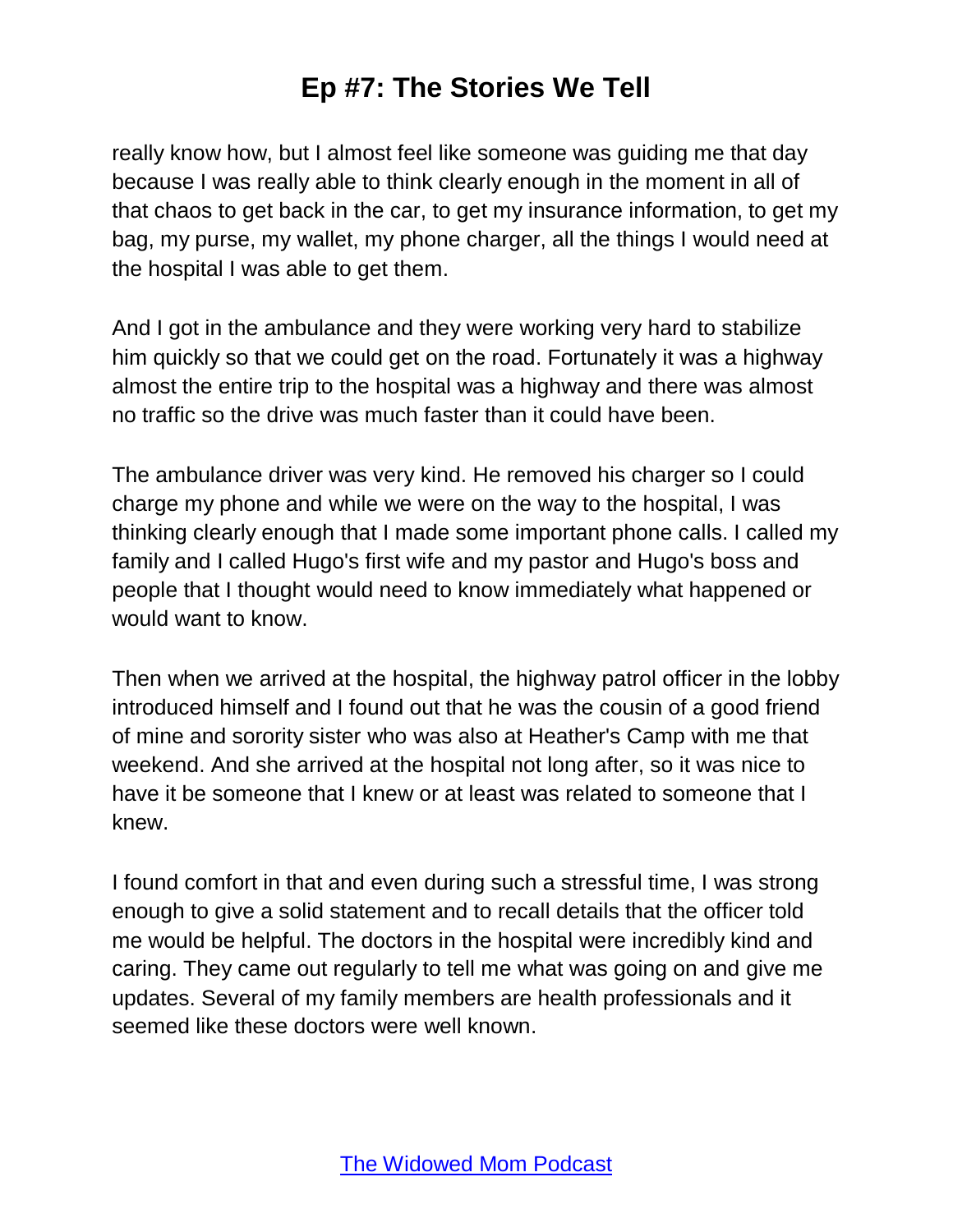really know how, but I almost feel like someone was guiding me that day because I was really able to think clearly enough in the moment in all of that chaos to get back in the car, to get my insurance information, to get my bag, my purse, my wallet, my phone charger, all the things I would need at the hospital I was able to get them.

And I got in the ambulance and they were working very hard to stabilize him quickly so that we could get on the road. Fortunately it was a highway almost the entire trip to the hospital was a highway and there was almost no traffic so the drive was much faster than it could have been.

The ambulance driver was very kind. He removed his charger so I could charge my phone and while we were on the way to the hospital, I was thinking clearly enough that I made some important phone calls. I called my family and I called Hugo's first wife and my pastor and Hugo's boss and people that I thought would need to know immediately what happened or would want to know.

Then when we arrived at the hospital, the highway patrol officer in the lobby introduced himself and I found out that he was the cousin of a good friend of mine and sorority sister who was also at Heather's Camp with me that weekend. And she arrived at the hospital not long after, so it was nice to have it be someone that I knew or at least was related to someone that I knew.

I found comfort in that and even during such a stressful time, I was strong enough to give a solid statement and to recall details that the officer told me would be helpful. The doctors in the hospital were incredibly kind and caring. They came out regularly to tell me what was going on and give me updates. Several of my family members are health professionals and it seemed like these doctors were well known.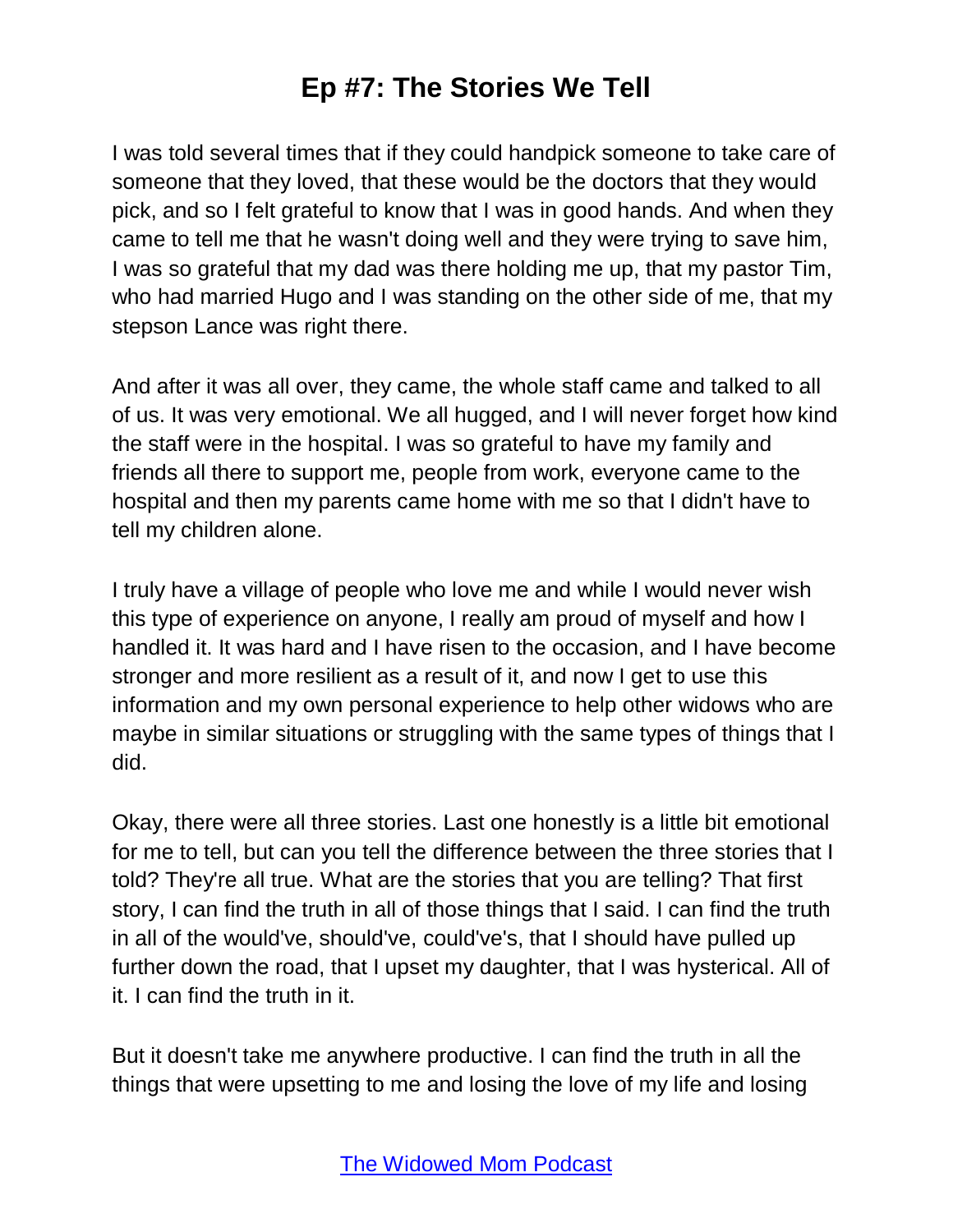I was told several times that if they could handpick someone to take care of someone that they loved, that these would be the doctors that they would pick, and so I felt grateful to know that I was in good hands. And when they came to tell me that he wasn't doing well and they were trying to save him, I was so grateful that my dad was there holding me up, that my pastor Tim, who had married Hugo and I was standing on the other side of me, that my stepson Lance was right there.

And after it was all over, they came, the whole staff came and talked to all of us. It was very emotional. We all hugged, and I will never forget how kind the staff were in the hospital. I was so grateful to have my family and friends all there to support me, people from work, everyone came to the hospital and then my parents came home with me so that I didn't have to tell my children alone.

I truly have a village of people who love me and while I would never wish this type of experience on anyone, I really am proud of myself and how I handled it. It was hard and I have risen to the occasion, and I have become stronger and more resilient as a result of it, and now I get to use this information and my own personal experience to help other widows who are maybe in similar situations or struggling with the same types of things that I did.

Okay, there were all three stories. Last one honestly is a little bit emotional for me to tell, but can you tell the difference between the three stories that I told? They're all true. What are the stories that you are telling? That first story, I can find the truth in all of those things that I said. I can find the truth in all of the would've, should've, could've's, that I should have pulled up further down the road, that I upset my daughter, that I was hysterical. All of it. I can find the truth in it.

But it doesn't take me anywhere productive. I can find the truth in all the things that were upsetting to me and losing the love of my life and losing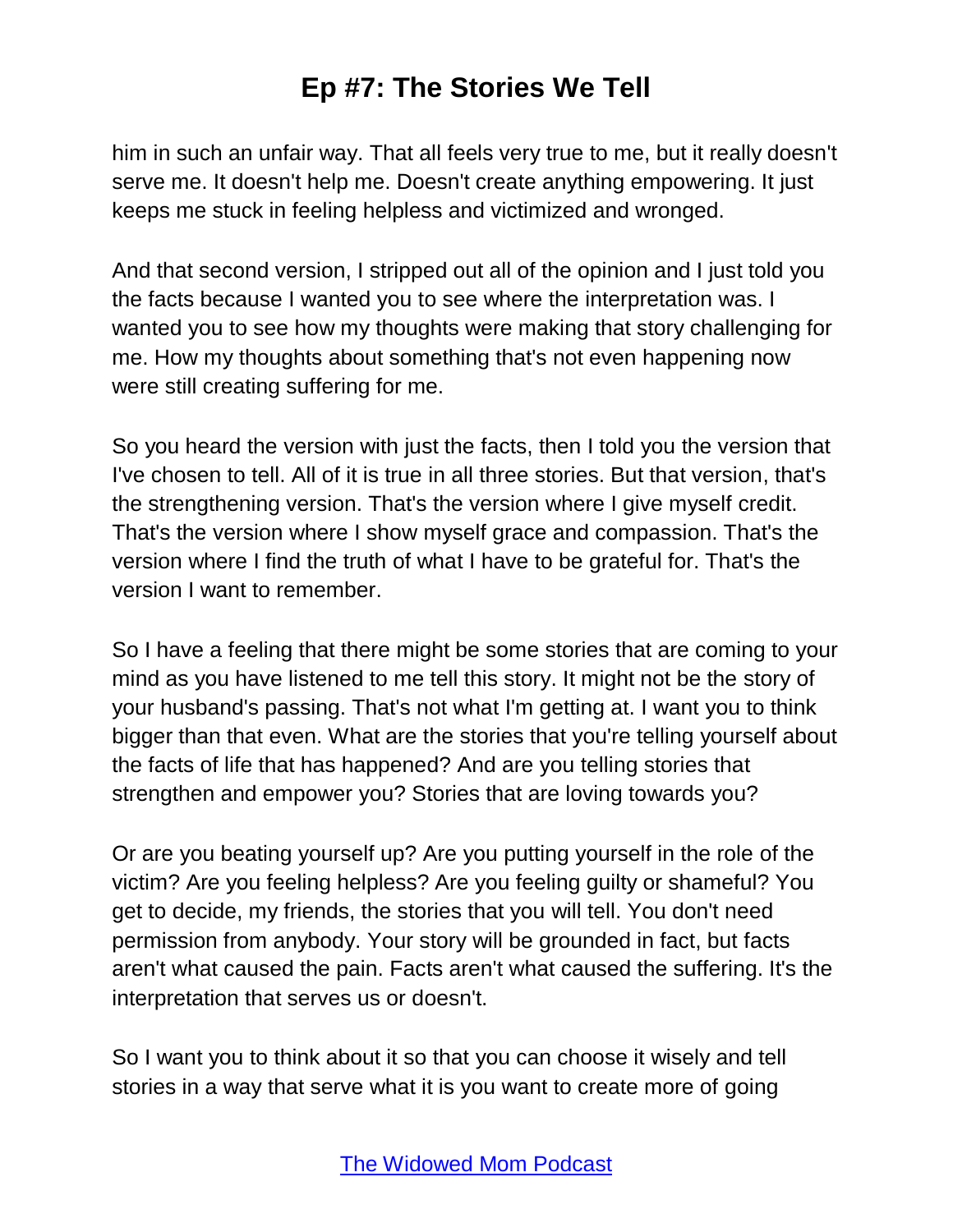him in such an unfair way. That all feels very true to me, but it really doesn't serve me. It doesn't help me. Doesn't create anything empowering. It just keeps me stuck in feeling helpless and victimized and wronged.

And that second version, I stripped out all of the opinion and I just told you the facts because I wanted you to see where the interpretation was. I wanted you to see how my thoughts were making that story challenging for me. How my thoughts about something that's not even happening now were still creating suffering for me.

So you heard the version with just the facts, then I told you the version that I've chosen to tell. All of it is true in all three stories. But that version, that's the strengthening version. That's the version where I give myself credit. That's the version where I show myself grace and compassion. That's the version where I find the truth of what I have to be grateful for. That's the version I want to remember.

So I have a feeling that there might be some stories that are coming to your mind as you have listened to me tell this story. It might not be the story of your husband's passing. That's not what I'm getting at. I want you to think bigger than that even. What are the stories that you're telling yourself about the facts of life that has happened? And are you telling stories that strengthen and empower you? Stories that are loving towards you?

Or are you beating yourself up? Are you putting yourself in the role of the victim? Are you feeling helpless? Are you feeling guilty or shameful? You get to decide, my friends, the stories that you will tell. You don't need permission from anybody. Your story will be grounded in fact, but facts aren't what caused the pain. Facts aren't what caused the suffering. It's the interpretation that serves us or doesn't.

So I want you to think about it so that you can choose it wisely and tell stories in a way that serve what it is you want to create more of going